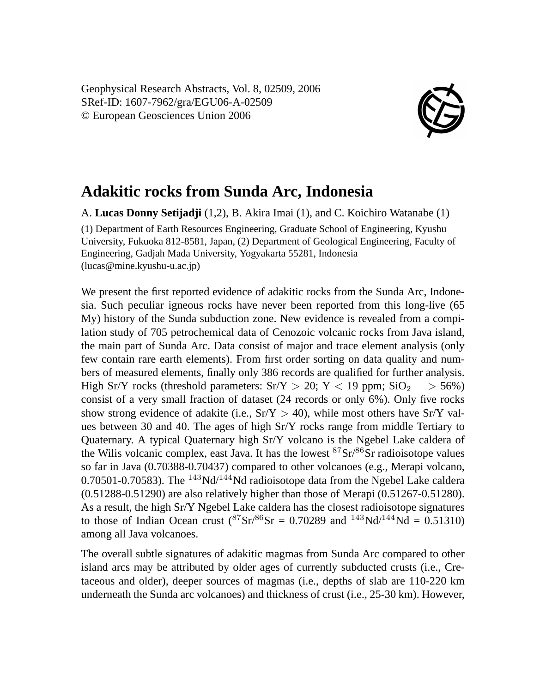Geophysical Research Abstracts, Vol. 8, 02509, 2006 SRef-ID: 1607-7962/gra/EGU06-A-02509 © European Geosciences Union 2006



## **Adakitic rocks from Sunda Arc, Indonesia**

A. **Lucas Donny Setijadji** (1,2), B. Akira Imai (1), and C. Koichiro Watanabe (1) (1) Department of Earth Resources Engineering, Graduate School of Engineering, Kyushu University, Fukuoka 812-8581, Japan, (2) Department of Geological Engineering, Faculty of Engineering, Gadjah Mada University, Yogyakarta 55281, Indonesia (lucas@mine.kyushu-u.ac.jp)

We present the first reported evidence of adakitic rocks from the Sunda Arc, Indonesia. Such peculiar igneous rocks have never been reported from this long-live (65 My) history of the Sunda subduction zone. New evidence is revealed from a compilation study of 705 petrochemical data of Cenozoic volcanic rocks from Java island, the main part of Sunda Arc. Data consist of major and trace element analysis (only few contain rare earth elements). From first order sorting on data quality and numbers of measured elements, finally only 386 records are qualified for further analysis. High Sr/Y rocks (threshold parameters:  $Sr/Y > 20$ ;  $Y < 19$  ppm;  $SiO<sub>2</sub> > 56%)$ ) consist of a very small fraction of dataset (24 records or only 6%). Only five rocks show strong evidence of adakite (i.e.,  $Sr/Y > 40$ ), while most others have  $Sr/Y$  values between 30 and 40. The ages of high Sr/Y rocks range from middle Tertiary to Quaternary. A typical Quaternary high Sr/Y volcano is the Ngebel Lake caldera of the Wilis volcanic complex, east Java. It has the lowest  $87\text{Sr}/86\text{Sr}$  radioisotope values so far in Java (0.70388-0.70437) compared to other volcanoes (e.g., Merapi volcano, 0.70501-0.70583). The  $^{143}$ Nd/ $^{144}$ Nd radioisotope data from the Ngebel Lake caldera (0.51288-0.51290) are also relatively higher than those of Merapi (0.51267-0.51280). As a result, the high Sr/Y Ngebel Lake caldera has the closest radioisotope signatures to those of Indian Ocean crust  $({}^{87}Sr/{}^{86}Sr = 0.70289$  and  $^{143}Nd/{}^{144}Nd = 0.51310$ among all Java volcanoes.

The overall subtle signatures of adakitic magmas from Sunda Arc compared to other island arcs may be attributed by older ages of currently subducted crusts (i.e., Cretaceous and older), deeper sources of magmas (i.e., depths of slab are 110-220 km underneath the Sunda arc volcanoes) and thickness of crust (i.e., 25-30 km). However,